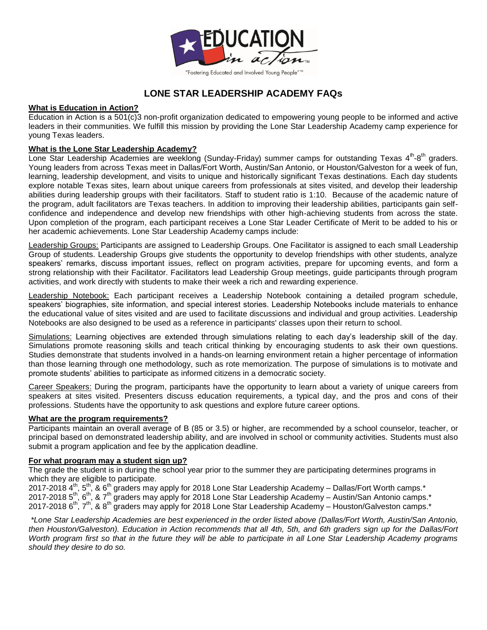

# **LONE STAR LEADERSHIP ACADEMY FAQs**

# **What is Education in Action?**

Education in Action is a 501(c)3 non-profit organization dedicated to empowering young people to be informed and active leaders in their communities. We fulfill this mission by providing the Lone Star Leadership Academy camp experience for young Texas leaders.

# **What is the Lone Star Leadership Academy?**

Lone Star Leadership Academies are weeklong (Sunday-Friday) summer camps for outstanding Texas  $4^{th}$ -8<sup>th</sup> graders. Young leaders from across Texas meet in Dallas/Fort Worth, Austin/San Antonio, or Houston/Galveston for a week of fun, learning, leadership development, and visits to unique and historically significant Texas destinations. Each day students explore notable Texas sites, learn about unique careers from professionals at sites visited, and develop their leadership abilities during leadership groups with their facilitators. Staff to student ratio is 1:10. Because of the academic nature of the program, adult facilitators are Texas teachers. In addition to improving their leadership abilities, participants gain selfconfidence and independence and develop new friendships with other high-achieving students from across the state. Upon completion of the program, each participant receives a Lone Star Leader Certificate of Merit to be added to his or her academic achievements. Lone Star Leadership Academy camps include:

Leadership Groups: Participants are assigned to Leadership Groups. One Facilitator is assigned to each small Leadership Group of students. Leadership Groups give students the opportunity to develop friendships with other students, analyze speakers' remarks, discuss important issues, reflect on program activities, prepare for upcoming events, and form a strong relationship with their Facilitator. Facilitators lead Leadership Group meetings, guide participants through program activities, and work directly with students to make their week a rich and rewarding experience.

Leadership Notebook: Each participant receives a Leadership Notebook containing a detailed program schedule, speakers' biographies, site information, and special interest stories. Leadership Notebooks include materials to enhance the educational value of sites visited and are used to facilitate discussions and individual and group activities. Leadership Notebooks are also designed to be used as a reference in participants' classes upon their return to school.

Simulations: Learning objectives are extended through simulations relating to each day's leadership skill of the day. Simulations promote reasoning skills and teach critical thinking by encouraging students to ask their own questions. Studies demonstrate that students involved in a hands-on learning environment retain a higher percentage of information than those learning through one methodology, such as rote memorization. The purpose of simulations is to motivate and promote students' abilities to participate as informed citizens in a democratic society.

Career Speakers: During the program, participants have the opportunity to learn about a variety of unique careers from speakers at sites visited. Presenters discuss education requirements, a typical day, and the pros and cons of their professions. Students have the opportunity to ask questions and explore future career options.

# **What are the program requirements?**

Participants maintain an overall average of B (85 or 3.5) or higher, are recommended by a school counselor, teacher, or principal based on demonstrated leadership ability, and are involved in school or community activities. Students must also submit a program application and fee by the application deadline.

# **For what program may a student sign up?**

The grade the student is in during the school year prior to the summer they are participating determines programs in which they are eligible to participate.

2017-2018 4<sup>th</sup>, 5<sup>th</sup>, & 6<sup>th</sup> graders may apply for 2018 Lone Star Leadership Academy – Dallas/Fort Worth camps.\* 2017-2018 5<sup>th</sup>, 6<sup>th</sup>, & 7<sup>th</sup> graders may apply for 2018 Lone Star Leadership Academy – Austin/San Antonio camps.\* 2017-2018 6<sup>th</sup>, 7<sup>th</sup>, & 8<sup>th</sup> graders may apply for 2018 Lone Star Leadership Academy – Houston/Galveston camps.\*

*\*Lone Star Leadership Academies are best experienced in the order listed above (Dallas/Fort Worth, Austin/San Antonio, then Houston/Galveston). Education in Action recommends that all 4th, 5th, and 6th graders sign up for the Dallas/Fort Worth program first so that in the future they will be able to participate in all Lone Star Leadership Academy programs should they desire to do so.*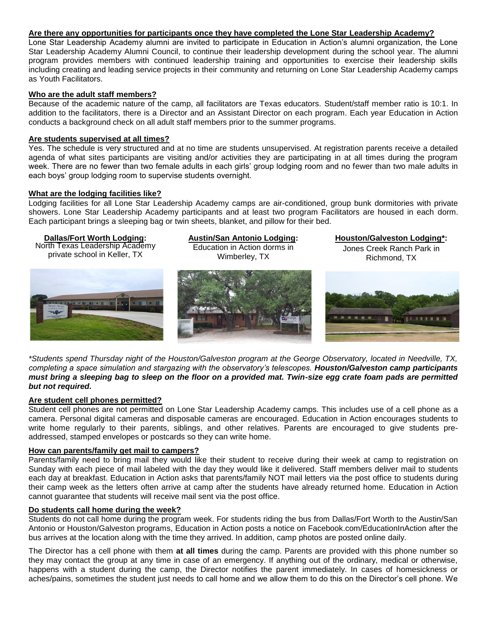## **Are there any opportunities for participants once they have completed the Lone Star Leadership Academy?**

Lone Star Leadership Academy alumni are invited to participate in Education in Action's alumni organization, the Lone Star Leadership Academy Alumni Council, to continue their leadership development during the school year. The alumni program provides members with continued leadership training and opportunities to exercise their leadership skills including creating and leading service projects in their community and returning on Lone Star Leadership Academy camps as Youth Facilitators.

#### **Who are the adult staff members?**

Because of the academic nature of the camp, all facilitators are Texas educators. Student/staff member ratio is 10:1. In addition to the facilitators, there is a Director and an Assistant Director on each program. Each year Education in Action conducts a background check on all adult staff members prior to the summer programs.

### **Are students supervised at all times?**

Yes. The schedule is very structured and at no time are students unsupervised. At registration parents receive a detailed agenda of what sites participants are visiting and/or activities they are participating in at all times during the program week. There are no fewer than two female adults in each girls' group lodging room and no fewer than two male adults in each boys' group lodging room to supervise students overnight.

### **What are the lodging facilities like?**

Lodging facilities for all Lone Star Leadership Academy camps are air-conditioned, group bunk dormitories with private showers. Lone Star Leadership Academy participants and at least two program Facilitators are housed in each dorm. Each participant brings a sleeping bag or twin sheets, blanket, and pillow for their bed.

### **Dallas/Fort Worth Lodging:**

North Texas Leadership Academy private school in Keller, TX

**Austin/San Antonio Lodging:** Education in Action dorms in



**Houston/Galveston Lodging\*:** Jones Creek Ranch Park in Richmond, TX



*\*Students spend Thursday night of the Houston/Galveston program at the George Observatory, located in Needville, TX, completing a space simulation and stargazing with the observatory's telescopes. Houston/Galveston camp participants must bring a sleeping bag to sleep on the floor on a provided mat. Twin-size egg crate foam pads are permitted but not required.*

#### **Are student cell phones permitted?**

Student cell phones are not permitted on Lone Star Leadership Academy camps. This includes use of a cell phone as a camera. Personal digital cameras and disposable cameras are encouraged. Education in Action encourages students to write home regularly to their parents, siblings, and other relatives. Parents are encouraged to give students preaddressed, stamped envelopes or postcards so they can write home.

# **How can parents/family get mail to campers?**

Parents/family need to bring mail they would like their student to receive during their week at camp to registration on Sunday with each piece of mail labeled with the day they would like it delivered. Staff members deliver mail to students each day at breakfast. Education in Action asks that parents/family NOT mail letters via the post office to students during their camp week as the letters often arrive at camp after the students have already returned home. Education in Action cannot guarantee that students will receive mail sent via the post office.

#### **Do students call home during the week?**

Students do not call home during the program week. For students riding the bus from Dallas/Fort Worth to the Austin/San Antonio or Houston/Galveston programs, Education in Action posts a notice on Facebook.com/EducationInAction after the bus arrives at the location along with the time they arrived. In addition, camp photos are posted online daily.

The Director has a cell phone with them **at all times** during the camp. Parents are provided with this phone number so they may contact the group at any time in case of an emergency. If anything out of the ordinary, medical or otherwise, happens with a student during the camp, the Director notifies the parent immediately. In cases of homesickness or aches/pains, sometimes the student just needs to call home and we allow them to do this on the Director's cell phone. We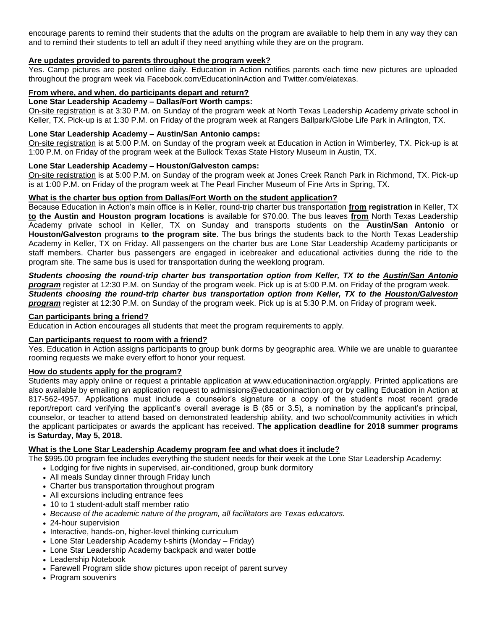encourage parents to remind their students that the adults on the program are available to help them in any way they can and to remind their students to tell an adult if they need anything while they are on the program.

## **Are updates provided to parents throughout the program week?**

Yes. Camp pictures are posted online daily. Education in Action notifies parents each time new pictures are uploaded throughout the program week via Facebook.com/EducationInAction and Twitter.com/eiatexas.

# **From where, and when, do participants depart and return?**

# **Lone Star Leadership Academy – Dallas/Fort Worth camps:**

On-site registration is at 3:30 P.M. on Sunday of the program week at North Texas Leadership Academy private school in Keller, TX. Pick-up is at 1:30 P.M. on Friday of the program week at Rangers Ballpark/Globe Life Park in Arlington, TX.

# **Lone Star Leadership Academy – Austin/San Antonio camps:**

On-site registration is at 5:00 P.M. on Sunday of the program week at Education in Action in Wimberley, TX. Pick-up is at 1:00 P.M. on Friday of the program week at the Bullock Texas State History Museum in Austin, TX.

### **Lone Star Leadership Academy – Houston/Galveston camps:**

On-site registration is at 5:00 P.M. on Sunday of the program week at Jones Creek Ranch Park in Richmond, TX. Pick-up is at 1:00 P.M. on Friday of the program week at The Pearl Fincher Museum of Fine Arts in Spring, TX.

### **What is the charter bus option from Dallas/Fort Worth on the student application?**

Because Education in Action's main office is in Keller, round-trip charter bus transportation **from registration** in Keller, TX **to the Austin and Houston program locations** is available for \$70.00. The bus leaves **from** North Texas Leadership Academy private school in Keller, TX on Sunday and transports students on the **Austin/San Antonio** or **Houston/Galveston** programs **to the program site**. The bus brings the students back to the North Texas Leadership Academy in Keller, TX on Friday. All passengers on the charter bus are Lone Star Leadership Academy participants or staff members. Charter bus passengers are engaged in icebreaker and educational activities during the ride to the program site. The same bus is used for transportation during the weeklong program.

# *Students choosing the round-trip charter bus transportation option from Keller, TX to the Austin/San Antonio program* register at 12:30 P.M. on Sunday of the program week. Pick up is at 5:00 P.M. on Friday of the program week. *Students choosing the round-trip charter bus transportation option from Keller, TX to the Houston/Galveston program* register at 12:30 P.M. on Sunday of the program week. Pick up is at 5:30 P.M. on Friday of program week.

## **Can participants bring a friend?**

Education in Action encourages all students that meet the program requirements to apply.

#### **Can participants request to room with a friend?**

Yes. Education in Action assigns participants to group bunk dorms by geographic area. While we are unable to guarantee rooming requests we make every effort to honor your request.

### **How do students apply for the program?**

Students may apply online or request a printable application at www.educationinaction.org/apply. Printed applications are also available by emailing an application request to admissions@educationinaction.org or by calling Education in Action at 817-562-4957. Applications must include a counselor's signature or a copy of the student's most recent grade report/report card verifying the applicant's overall average is B (85 or 3.5), a nomination by the applicant's principal, counselor, or teacher to attend based on demonstrated leadership ability, and two school/community activities in which the applicant participates or awards the applicant has received. **The application deadline for 2018 summer programs is Saturday, May 5, 2018.**

# **What is the Lone Star Leadership Academy program fee and what does it include?**

The \$995.00 program fee includes everything the student needs for their week at the Lone Star Leadership Academy:

- Lodging for five nights in supervised, air-conditioned, group bunk dormitory
- All meals Sunday dinner through Friday lunch
- Charter bus transportation throughout program
- All excursions including entrance fees
- 10 to 1 student-adult staff member ratio
- *Because of the academic nature of the program, all facilitators are Texas educators.*
- 24-hour supervision
- Interactive, hands-on, higher-level thinking curriculum
- Lone Star Leadership Academy t-shirts (Monday Friday)
- Lone Star Leadership Academy backpack and water bottle
- Leadership Notebook
- Farewell Program slide show pictures upon receipt of parent survey
- Program souvenirs